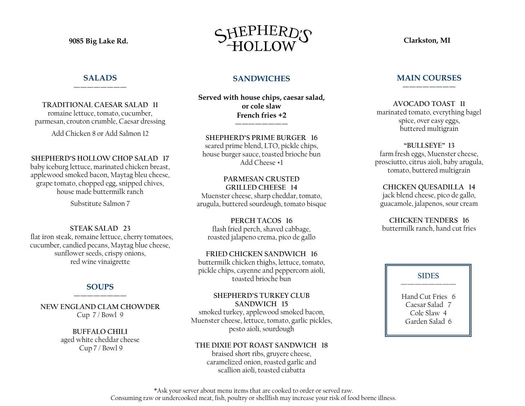### **SALADS** ————————

**TRADITIONAL CAESAR SALAD 11**  romaine lettuce, tomato, cucumber, parmesan, crouton crumble, Caesar dressing

Add Chicken 8 or Add Salmon 12

**SHEPHERD'S HOLLOW CHOP SALAD 17** baby iceburg lettuce, marinated chicken breast, applewood smoked bacon, Maytag bleu cheese, grape tomato, chopped egg, snipped chives, house made buttermilk ranch

Substitute Salmon 7

**STEAK SALAD 23** flat iron steak, romaine lettuce, cherry tomatoes, cucumber, candied pecans, Maytag blue cheese, sunflower seeds, crispy onions, red wine vinaigrette

### **SOUPS** ————————

**NEW ENGLAND CLAM CHOWDER** Cup  $7/$  Bowl 9

> **BUFFALO CHILI** aged white cheddar cheese Cup 7 / Bowl 9



## **SANDWICHES**

**Served with house chips, caesar salad, or cole slaw French fries +2**

————————

**SHEPHERD'S PRIME BURGER 16** seared prime blend, LTO, pickle chips, house burger sauce, toasted brioche bun Add Cheese +1

**PARMESAN CRUSTED GRILLED CHEESE 14** Muenster cheese, sharp cheddar, tomato, arugula, buttered sourdough, tomato bisque

**PERCH TACOS 16** flash fried perch, shaved cabbage, roasted jalapeno crema, pico de gallo

**FRIED CHICKEN SANDWICH 16** buttermilk chicken thighs, lettuce, tomato, pickle chips, cayenne and peppercorn aioli, toasted brioche bun

**SHEPHERD'S TURKEY CLUB SANDWICH 15** smoked turkey, applewood smoked bacon, Muenster cheese, lettuce, tomato, garlic pickles,

pesto aioli, sourdough

**THE DIXIE POT ROAST SANDWICH 18** braised short ribs, gruyere cheese, caramelized onion, roasted garlic and scallion aioli, toasted ciabatta

#### **MAIN COURSES** ————————

**AVOCADO TOAST 11** marinated tomato, everything bagel spice, over easy eggs, buttered multigrain

**"BULLSEYE" 13** farm fresh eggs, Muenster cheese, prosciutto, citrus aioli, baby arugula, tomato, buttered multigrain

**CHICKEN QUESADILLA 14** jack blend cheese, pico de gallo, guacamole, jalapenos, sour cream

**CHICKEN TENDERS 16** buttermilk ranch, hand cut fries

### **SIDES ————————**

Hand Cut Fries 6 Caesar Salad 7 Cole Slaw 4 Garden Salad 6

\*Ask your server about menu items that are cooked to order or served raw. Consuming raw or undercooked meat, fish, poultry or shellfish may increase your risk of food borne illness.